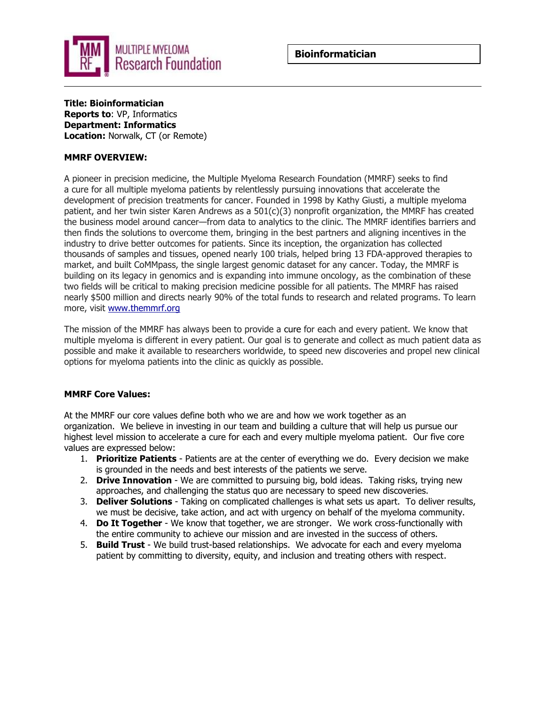

#### **Title: Bioinformatician Reports to**: VP, Informatics **Department: Informatics Location:** Norwalk, CT (or Remote)

# **MMRF OVERVIEW:**

A pioneer in precision medicine, the Multiple Myeloma Research Foundation (MMRF) seeks to find a cure for all multiple myeloma patients by relentlessly pursuing innovations that accelerate the development of precision treatments for cancer. Founded in 1998 by Kathy Giusti, a multiple myeloma patient, and her twin sister Karen Andrews as a 501(c)(3) nonprofit organization, the MMRF has created the business model around cancer—from data to analytics to the clinic. The MMRF identifies barriers and then finds the solutions to overcome them, bringing in the best partners and aligning incentives in the industry to drive better outcomes for patients. Since its inception, the organization has collected thousands of samples and tissues, opened nearly 100 trials, helped bring 13 FDA-approved therapies to market, and built CoMMpass, the single largest genomic dataset for any cancer. Today, the MMRF is building on its legacy in genomics and is expanding into immune oncology, as the combination of these two fields will be critical to making precision medicine possible for all patients. The MMRF has raised nearly \$500 million and directs nearly 90% of the total funds to research and related programs. To learn more, visit [www.themmrf.org](http://www.themmrf.org/)

The mission of the MMRF has always been to provide a cure for each and every patient. We know that multiple myeloma is different in every patient. Our goal is to generate and collect as much patient data as possible and make it available to researchers worldwide, to speed new discoveries and propel new clinical options for myeloma patients into the clinic as quickly as possible.

## **MMRF Core Values:**

At the MMRF our core values define both who we are and how we work together as an organization. We believe in investing in our team and building a culture that will help us pursue our highest level mission to accelerate a cure for each and every multiple myeloma patient. Our five core values are expressed below:

- 1. **Prioritize Patients**  Patients are at the center of everything we do. Every decision we make is grounded in the needs and best interests of the patients we serve.
- 2. **Drive Innovation**  We are committed to pursuing big, bold ideas. Taking risks, trying new approaches, and challenging the status quo are necessary to speed new discoveries.
- 3. **Deliver Solutions**  Taking on complicated challenges is what sets us apart. To deliver results, we must be decisive, take action, and act with urgency on behalf of the myeloma community.
- 4. **Do It Together**  We know that together, we are stronger. We work cross-functionally with the entire community to achieve our mission and are invested in the success of others.
- 5. **Build Trust**  We build trust-based relationships. We advocate for each and every myeloma patient by committing to diversity, equity, and inclusion and treating others with respect.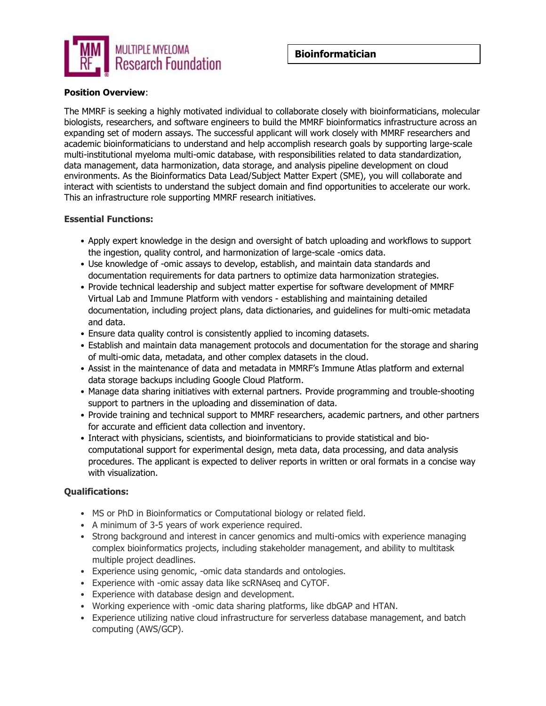

## **Position Overview**:

The MMRF is seeking a highly motivated individual to collaborate closely with bioinformaticians, molecular biologists, researchers, and software engineers to build the MMRF bioinformatics infrastructure across an expanding set of modern assays. The successful applicant will work closely with MMRF researchers and academic bioinformaticians to understand and help accomplish research goals by supporting large-scale multi-institutional myeloma multi-omic database, with responsibilities related to data standardization, data management, data harmonization, data storage, and analysis pipeline development on cloud environments. As the Bioinformatics Data Lead/Subject Matter Expert (SME), you will collaborate and interact with scientists to understand the subject domain and find opportunities to accelerate our work. This an infrastructure role supporting MMRF research initiatives.

## **Essential Functions:**

- Apply expert knowledge in the design and oversight of batch uploading and workflows to support the ingestion, quality control, and harmonization of large-scale -omics data.
- Use knowledge of -omic assays to develop, establish, and maintain data standards and documentation requirements for data partners to optimize data harmonization strategies.
- Provide technical leadership and subject matter expertise for software development of MMRF Virtual Lab and Immune Platform with vendors - establishing and maintaining detailed documentation, including project plans, data dictionaries, and guidelines for multi-omic metadata and data.
- Ensure data quality control is consistently applied to incoming datasets.
- Establish and maintain data management protocols and documentation for the storage and sharing of multi-omic data, metadata, and other complex datasets in the cloud.
- Assist in the maintenance of data and metadata in MMRF's Immune Atlas platform and external data storage backups including Google Cloud Platform.
- Manage data sharing initiatives with external partners. Provide programming and trouble-shooting support to partners in the uploading and dissemination of data.
- Provide training and technical support to MMRF researchers, academic partners, and other partners for accurate and efficient data collection and inventory.
- Interact with physicians, scientists, and bioinformaticians to provide statistical and biocomputational support for experimental design, meta data, data processing, and data analysis procedures. The applicant is expected to deliver reports in written or oral formats in a concise way with visualization.

## **Qualifications:**

- MS or PhD in Bioinformatics or Computational biology or related field.
- A minimum of 3-5 years of work experience required.
- Strong background and interest in cancer genomics and multi-omics with experience managing complex bioinformatics projects, including stakeholder management, and ability to multitask multiple project deadlines.
- Experience using genomic, -omic data standards and ontologies.
- Experience with -omic assay data like scRNAseq and CyTOF.
- Experience with database design and development.
- Working experience with -omic data sharing platforms, like dbGAP and HTAN.
- Experience utilizing native cloud infrastructure for serverless database management, and batch computing (AWS/GCP).